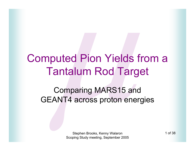## Computed Pion Yields from a Tantalum Rod Target

Comparing MARS15 and GEANT4 across proton energies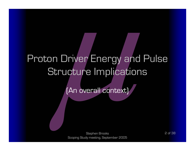# Proton Driver Energy and Pulse Structure Implications

(An overall context)

Stephen Brooks Scoping Study meeting, September 2005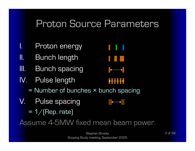#### Proton Source Parameters

- I. Proton energy
- II. Bunch length
- III. Bunch spacing
- IV. Pulse length
	- = Number of bunches × bunch spacing
- V. Pulse spacing
	- $= 1/$  (Rep. rate)

Assume 4-5MW fixed mean beam power.

<u> Tanzania di Italia di Italia di Italia di Italia di Italia di Italia di I</u>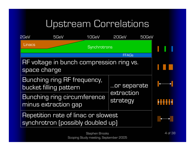#### Upstream Correlations

| 2GeV                                                                     | 5GeV                                                  | 10GeV        | 20GeV                                 | 50GeV |  |
|--------------------------------------------------------------------------|-------------------------------------------------------|--------------|---------------------------------------|-------|--|
| Linacs                                                                   |                                                       | Synchrotrons |                                       |       |  |
|                                                                          |                                                       |              | <b>FFAGs</b>                          |       |  |
| RF voltage in bunch compression ring vs.<br>space charge                 |                                                       |              |                                       |       |  |
|                                                                          | Bunching ring RF frequency,<br>bucket filling pattern |              | or separate<br>extraction<br>strategy |       |  |
|                                                                          | Bunching ring circumference<br>minus extraction gap   |              |                                       |       |  |
| Repetition rate of linac or slowest<br>synchrotron (possibly doubled up) |                                                       |              |                                       |       |  |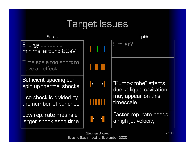#### Target Issues

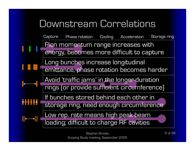#### Downstream Correlations

Low rep. rate means high peak beam loading; difficult to charge RF cavities If bunches stored behind each other in storage ring, need enough circumference Avoid 'traffic jams' in the longer-duration rings (or provide sufficient circumference) Long bunches increase longitudinal emittance, phase rotation becomes harder Pion momentum range increases with energy, becomes more difficult to capture Capture Phase rotation Cooling Acceleration Storage ring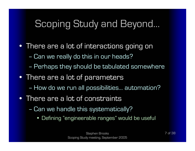#### Scoping Study and Beyond…

- There are a lot of interactions going on
	- Can we really do this in our heads?
	- Perhaps they should be tabulated somewhere
- There are a lot of parameters
	- How do we run all possibilities… automation?
- There are a lot of constraints
	- Can we handle this systematically?
		- Defining "engineerable ranges" would be useful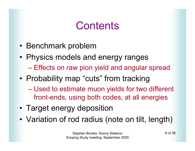## **Contents**

- Benchmark problem
- Physics models and energy ranges
	- Effects on raw pion yield and angular spread
- • Probability map "cuts" from tracking
	- Used to estimate muon yields for two different front-ends, using both codes, at all energies
- Target energy deposition
- •Variation of rod radius (note on tilt, length)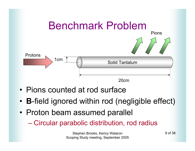

- Pions counted at rod surface
- •**B**-field ignored within rod (negligible effect)
- Proton beam assumed parallel
	- Circular parabolic distribution, rod radius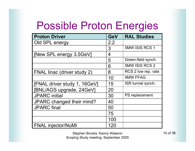## Possible Proton Energies

| <b>Proton Driver</b>         | <b>GeV</b> | <b>RAL Studies</b>  |
|------------------------------|------------|---------------------|
| Old SPL energy               | 2.2        |                     |
|                              | 3          | 5MW ISIS RCS 1      |
| [New SPL energy 3.5GeV]      | 4          |                     |
|                              | 5          | Green-field synch.  |
|                              | 6          | 5MW ISIS RCS 2      |
| FNAL linac (driver study 2)  | 8          | RCS 2 low rep. rate |
|                              | 10         | <b>4MW FFAG</b>     |
| [FNAL driver study 1, 16GeV] | 15         | ISR tunnel synch.   |
| [BNL/AGS upgrade, 24GeV]     | 20         |                     |
| <b>JPARC</b> initial         | 30         | PS replacement      |
| JPARC changed their mind?    | 40         |                     |
| <b>JPARC</b> final           | 50         |                     |
|                              | 75         |                     |
|                              | 100        |                     |
| <b>FNAL injector/NuMI</b>    | 120        |                     |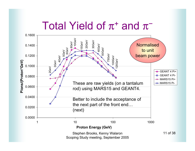#### Total Yield of π  $^+$  and  $\pi^-$

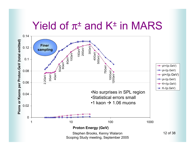#### Yield of π ± and K ± in MARS

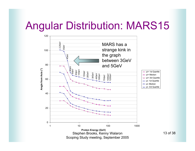#### Angular Distribution: MARS15

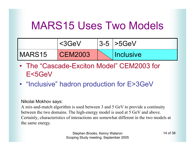## MARS15 Uses Two Models

|        | $<$ 3GeV       | $ 3-5  > 5$ GeV |
|--------|----------------|-----------------|
| MARS15 | <b>CEM2003</b> | Inclusive       |

- The "Cascade-Exciton Model" CEM2003 for E<5GeV
- "Inclusive" hadron production for E>3GeV

Nikolai Mokhov says:

A mix-and-match algorithm is used between 3 and 5 GeV to provide a continuity between the two domains. The high-energy model is used at 5 GeV and above. Certainly, characteristics of interactions are somewhat different in the two models at the same energy.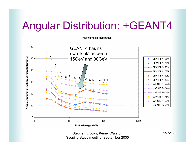## Angular Distribution: +GEANT4



Stephen Brooks, Kenny Walaron Scoping Study meeting, September 2005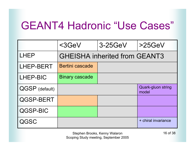## GEANT4 Hadronic "Use Cases"

|                 | $<$ 3GeV                             | 3-25GeV | >25GeV                             |  |
|-----------------|--------------------------------------|---------|------------------------------------|--|
| <b>LHEP</b>     | <b>GHEISHA inherited from GEANT3</b> |         |                                    |  |
| LHEP-BERT       | <b>Bertini cascade</b>               |         |                                    |  |
| <b>LHEP-BIC</b> | <b>Binary cascade</b>                |         |                                    |  |
| QGSP (default)  |                                      |         | <b>Quark-gluon string</b><br>model |  |
| QGSP-BERT       |                                      |         |                                    |  |
| QGSP-BIC        |                                      |         |                                    |  |
| QGSC            |                                      |         | + chiral invariance                |  |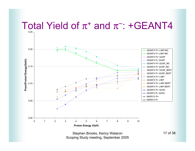#### Total Yield of  $\pi^+$  and  $\pi^-$ : +GEANT4



Stephen Brooks, Kenny Walaron Scoping Study meeting, September 2005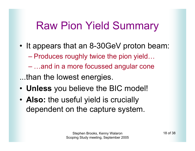## Raw Pion Yield Summary

- • It appears that an 8-30GeV proton beam:
	- Produces roughly twice the pion yield…
	- …and in a more focussed angular cone
- ...than the lowest energies.
- **Unless** you believe the BIC model!
- • **Also:** the useful yield is crucially dependent on the capture system.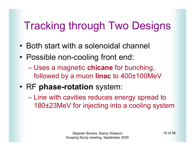## Tracking through Two Designs

- Both start with a solenoidal channel
- • Possible non-cooling front end:
	- Uses a magnetic **chicane** for bunching, followed by a muon **linac** to 400±100MeV
- RF **phase-rotation** system:
	- Line with cavities reduces energy spread to 180±23MeV for injecting into a cooling system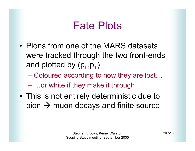## Fate Plots

- Pions from one of the MARS datasets were tracked through the two front-ends and plotted by  $(p_1,p_T)$ 
	- Coloured according to how they are lost…
	- …or white if they make it through
- This is not entirely deterministic due to pion  $\rightarrow$  muon decays and finite source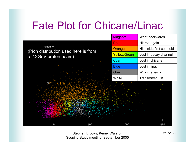## Fate Plot for Chicane/Linac

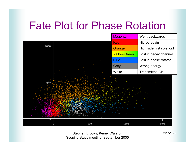#### Fate Plot for Phase Rotation

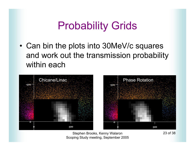## Probability Grids

• Can bin the plots into 30MeV/c squares and work out the transmission probability within each



Stephen Brooks, Kenny Walaron Scoping Study meeting, September 2005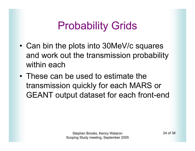## Probability Grids

- • Can bin the plots into 30MeV/c squares and work out the transmission probability within each
- These can be used to estimate the transmission quickly for each MARS or GEANT output dataset for each front-end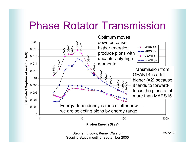#### Phase Rotator Transmission

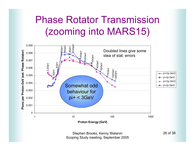#### Phase Rotator Transmission (zooming into MARS15)

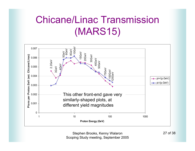## Chicane/Linac Transmission (MARS15)

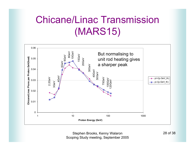## Chicane/Linac Transmission (MARS15)

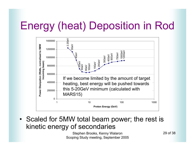## Energy (heat) Deposition in Rod



• Scaled for 5MW total beam power; the rest is kinetic energy of secondaries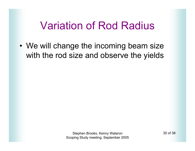## Variation of Rod Radius

• We will change the incoming beam size with the rod size and observe the yields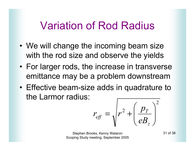### Variation of Rod Radius

- We will change the incoming beam size with the rod size and observe the yields
- For larger rods, the increase in transverse emittance may be a problem downstream
- • Effective beam-size adds in quadrature to the Larmor radius:

$$
r_{\text{eff}} = \sqrt{r^2 + \left(\frac{p_T}{eB_z}\right)^2}
$$

Stephen Brooks, Kenny Walaron Scoping Study meeting, September 2005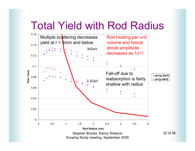## Total Yield with Rod Radius

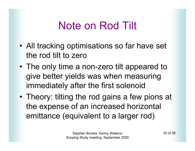## Note on Rod Tilt

- • All tracking optimisations so far have set the rod tilt to zero
- The only time a non-zero tilt appeared to give better yields was when measuring immediately after the first solenoid
- • Theory: tilting the rod gains a few pions at the expense of an increased horizontal emittance (equivalent to a larger rod)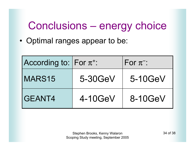## Conclusions – energy choice

•Optimal ranges appear to be:

| According to: $ For \pi^+$ : |           | For $\pi$ : |
|------------------------------|-----------|-------------|
| MARS15                       | $5-30GeV$ | 5-10GeV     |
| <b>GEANT4</b>                | 4-10GeV   | 8-10GeV     |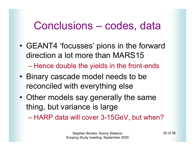#### Conclusions – codes, data

- • GEANT4 'focusses' pions in the forward direction a lot more than MARS15Hence double the yields in the front-ends
- Binary cascade model needs to be reconciled with everything else
- • Other models say generally the same thing, but variance is large

HARP data will cover 3-15GeV, but when?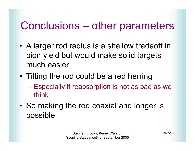## Conclusions – other parameters

- • A larger rod radius is a shallow tradeoff in pion yield but would make solid targets much easier
- Tilting the rod could be a red herring
	- Especially if reabsorption is not as bad as we think
- • So making the rod coaxial and longer is possible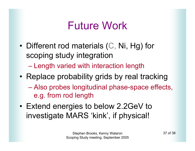## Future Work

• Different rod materials (C, Ni, Hg) for scoping study integration

Length varied with interaction length

- Replace probability grids by real tracking
	- Also probes longitudinal phase-space effects, e.g. from rod length
- • Extend energies to below 2.2GeV to investigate MARS 'kink', if physical!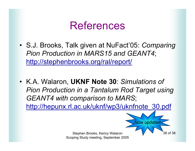#### References

- S.J. Brooks, Talk given at NuFact'05: *Comparing Pion Production in MARS15 and GEANT4*; http://stephenbrooks.org/ral/report/
- K.A. Walaron, **UKNF Note 30**: *Simulations of Pion Production in a Tantalum Rod Target using GEANT4 with comparison to MARS*; http://hepunx.rl.ac.uk/uknf/wp3/uknfnote\_30.pdf

Stephen Brooks, Kenny Walaron Scoping Study meeting, September 2005 38 of 38

Now updated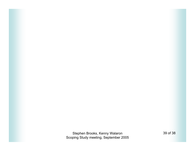Stephen Brooks, Kenny Walaron Scoping Study meeting, September 2005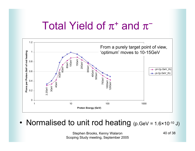#### Total Yield of  $\pi^+$  and  $\pi^-$



• Normalised to unit rod heating (p.GeV = 1.6×10-10 J)

Stephen Brooks, Kenny Walaron Scoping Study meeting, September 2005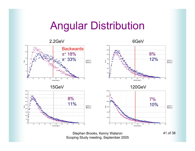#### Angular Distribution



Stephen Brooks, Kenny Walaron Scoping Study meeting, September 2005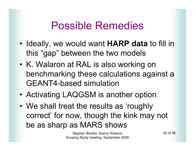## Possible Remedies

- • Ideally, we would want **HARP data** to fill in this "gap" between the two models
- K. Walaron at RAL is also working on benchmarking these calculations against a GEANT4-based simulation
- •Activating LAQGSM is another option
- • We shall treat the results as 'roughly correct' for now, though the kink may not be as sharp as MARS shows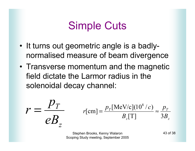- It turns out geometric angle is a badlynormalised measure of beam divergence
- Transverse momentum and the magnetic field dictate the Larmor radius in the solenoidal decay channel:

$$
r = \frac{p_T}{eB_z}
$$
 
$$
r[\text{cm}] = \frac{p_T[\text{MeV/c}](10^8/c)}{B_z[T]} \approx \frac{p_T}{3B_z}
$$

Stephen Brooks, Kenny Walaron Scoping Study meeting, September 2005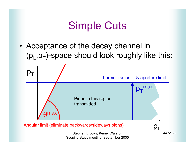• Acceptance of the decay channel in  $(p_1,p_T)$ -space should look roughly like this:

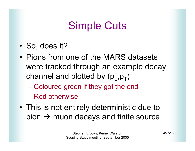- •So, does it?
- Pions from one of the MARS datasets were tracked through an example decay channel and plotted by  $(p_1,p_1)$ 
	- Coloured green if they got the end
	- Red otherwise
- This is not entirely deterministic due to pion  $\rightarrow$  muon decays and finite source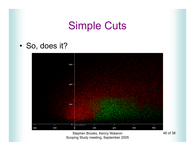•So, does it?



Stephen Brooks, Kenny Walaron Scoping Study meeting, September 2005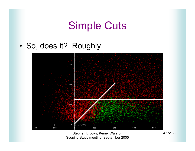•So, does it? Roughly.



Stephen Brooks, Kenny Walaron Scoping Study meeting, September 2005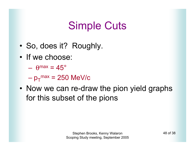- •So, does it? Roughly.
- If we choose:
	- $\theta^{\text{max}}$  =  $45^{\circ}$

 $p_T^{\text{max}}$  = 250 MeV/c

• Now we can re-draw the pion yield graphs for this subset of the pions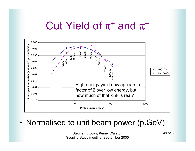#### Cut Yield of  $\pi^+$  and  $\pi^-$



#### •Normalised to unit beam power (p.GeV)

Stephen Brooks, Kenny Walaron Scoping Study meeting, September 2005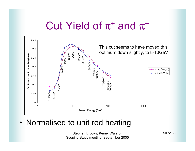## Cut Yield of  $\pi^+$  and  $\pi^-$



• Normalised to unit rod heating

Stephen Brooks, Kenny Walaron Scoping Study meeting, September 2005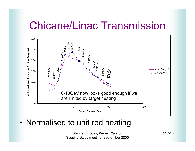## Chicane/Linac Transmission



• Normalised to unit rod heating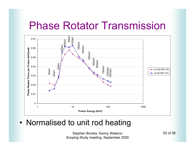### Phase Rotator Transmission



• Normalised to unit rod heating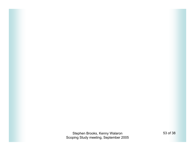Stephen Brooks, Kenny Walaron Scoping Study meeting, September 2005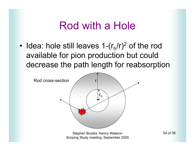#### Rod with a Hole

•Idea: hole still leaves  $1-(r_h/r)^2$  of the rod available for pion production but could decrease the path length for reabsorption



Scoping Study meeting, September 2005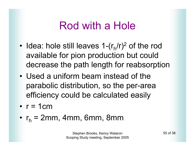## Rod with a Hole

- •Idea: hole still leaves  $1-(r_h/r)^2$  of the rod available for pion production but could decrease the path length for reabsorption
- Used a uniform beam instead of the parabolic distribution, so the per-area efficiency could be calculated easily
- r = 1cm
- r<sub>h</sub> = 2mm, 4mm, 6mm, 8mm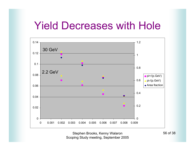#### Yield Decreases with Hole



Stephen Brooks, Kenny Walaron Scoping Study meeting, September 2005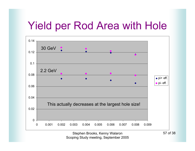#### Yield per Rod Area with Hole



Stephen Brooks, Kenny Walaron Scoping Study meeting, September 2005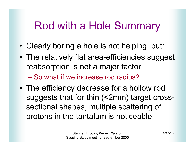## Rod with a Hole Summary

- •Clearly boring a hole is not helping, but:
- • The relatively flat area-efficiencies suggest reabsorption is not a major factor

– So what if we increase rod radius?

• The efficiency decrease for a hollow rod suggests that for thin (<2mm) target crosssectional shapes, multiple scattering of protons in the tantalum is noticeable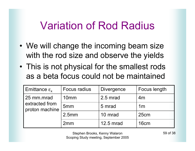## Variation of Rod Radius

- We will change the incoming beam size with the rod size and observe the yields
- • This is not physical for the smallest rods as a beta focus could not be maintained

| Emittance $\varepsilon_{x}$      | Focus radius     | <b>Divergence</b> | Focus length   |
|----------------------------------|------------------|-------------------|----------------|
| 25 mm.mrad                       | 10 <sub>mm</sub> | 2.5 mrad<br>4m    |                |
| extracted from<br>proton machine | 5 <sub>mm</sub>  | 5 mrad            | 1 <sub>m</sub> |
|                                  | 2.5mm            | 10 mrad           | 25cm           |
|                                  | <b>2mm</b>       | <b>12.5 mrad</b>  | 16cm           |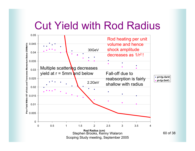#### Cut Yield with Rod Radius